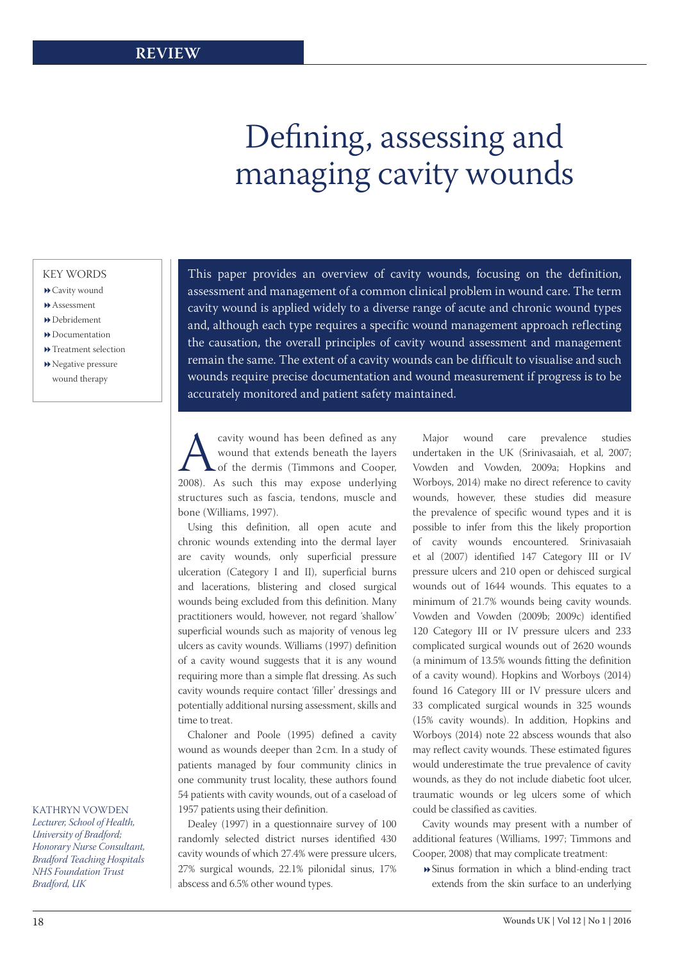# Defining, assessing and managing cavity wounds

#### KEY WORDS

- Cavity wound
- Assessment
- Debridement
- Documentation
- **D** Treatment selection
- Negative pressure wound therapy

### KATHRYN VOWDEN

*Lecturer, School of Health, University of Bradford; Honorary Nurse Consultant, Bradford Teaching Hospitals NHS Foundation Trust Bradford, UK*

This paper provides an overview of cavity wounds, focusing on the definition, assessment and management of a common clinical problem in wound care. The term cavity wound is applied widely to a diverse range of acute and chronic wound types and, although each type requires a specific wound management approach reflecting the causation, the overall principles of cavity wound assessment and management remain the same. The extent of a cavity wounds can be difficult to visualise and such wounds require precise documentation and wound measurement if progress is to be accurately monitored and patient safety maintained.

Equiver wound has been defined as any wound that extends beneath the layers of the dermis (Timmons and Cooper, 2008). As such this may expose underlying wound that extends beneath the layers of the dermis (Timmons and Cooper, structures such as fascia, tendons, muscle and bone (Williams, 1997).

Using this definition, all open acute and chronic wounds extending into the dermal layer are cavity wounds, only superficial pressure ulceration (Category I and II), superficial burns and lacerations, blistering and closed surgical wounds being excluded from this definition. Many practitioners would, however, not regard 'shallow' superficial wounds such as majority of venous leg ulcers as cavity wounds. Williams (1997) definition of a cavity wound suggests that it is any wound requiring more than a simple flat dressing. As such cavity wounds require contact 'filler' dressings and potentially additional nursing assessment, skills and time to treat.

Chaloner and Poole (1995) defined a cavity wound as wounds deeper than 2 cm. In a study of patients managed by four community clinics in one community trust locality, these authors found 54 patients with cavity wounds, out of a caseload of 1957 patients using their definition.

Dealey (1997) in a questionnaire survey of 100 randomly selected district nurses identified 430 cavity wounds of which 27.4% were pressure ulcers, 27% surgical wounds, 22.1% pilonidal sinus, 17% abscess and 6.5% other wound types.

Major wound care prevalence studies undertaken in the UK (Srinivasaiah, et al, 2007; Vowden and Vowden, 2009a; Hopkins and Worboys, 2014) make no direct reference to cavity wounds, however, these studies did measure the prevalence of specific wound types and it is possible to infer from this the likely proportion of cavity wounds encountered. Srinivasaiah et al (2007) identified 147 Category III or IV pressure ulcers and 210 open or dehisced surgical wounds out of 1644 wounds. This equates to a minimum of 21.7% wounds being cavity wounds. Vowden and Vowden (2009b; 2009c) identified 120 Category III or IV pressure ulcers and 233 complicated surgical wounds out of 2620 wounds (a minimum of 13.5% wounds fitting the definition of a cavity wound). Hopkins and Worboys (2014) found 16 Category III or IV pressure ulcers and 33 complicated surgical wounds in 325 wounds (15% cavity wounds). In addition, Hopkins and Worboys (2014) note 22 abscess wounds that also may reflect cavity wounds. These estimated figures would underestimate the true prevalence of cavity wounds, as they do not include diabetic foot ulcer, traumatic wounds or leg ulcers some of which could be classified as cavities.

Cavity wounds may present with a number of additional features (Williams, 1997; Timmons and Cooper, 2008) that may complicate treatment:

Sinus formation in which a blind-ending tract extends from the skin surface to an underlying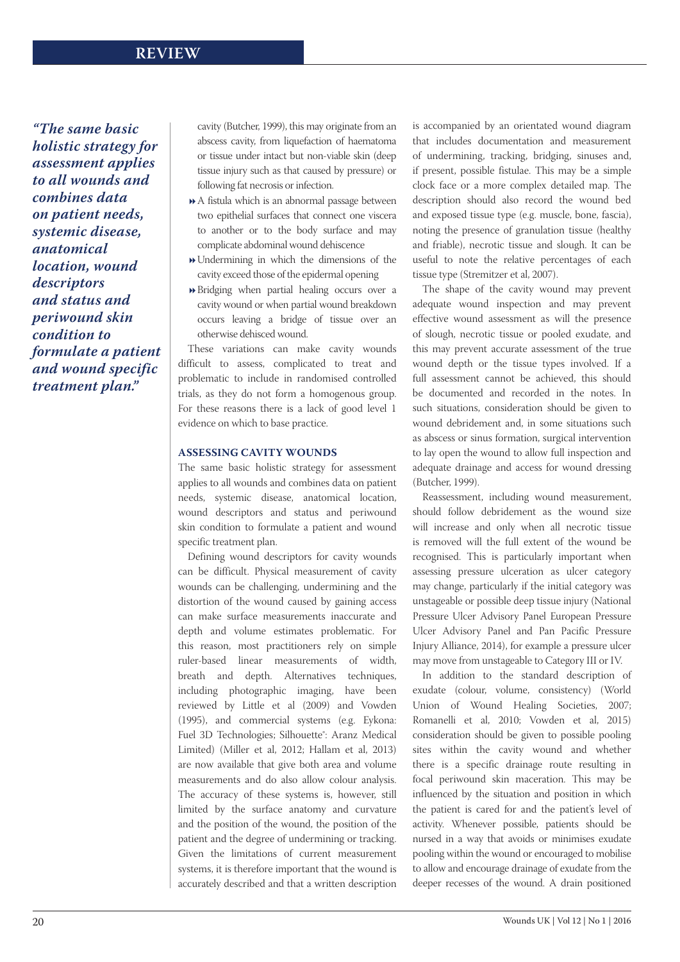# **REVIEW**

*"The same basic holistic strategy for assessment applies to all wounds and combines data on patient needs, systemic disease, anatomical location, wound descriptors and status and periwound skin condition to formulate a patient and wound specific treatment plan."*

cavity (Butcher, 1999), this may originate from an abscess cavity, from liquefaction of haematoma or tissue under intact but non-viable skin (deep tissue injury such as that caused by pressure) or following fat necrosis or infection.

- A fistula which is an abnormal passage between two epithelial surfaces that connect one viscera to another or to the body surface and may complicate abdominal wound dehiscence
- Undermining in which the dimensions of the cavity exceed those of the epidermal opening
- Bridging when partial healing occurs over a cavity wound or when partial wound breakdown occurs leaving a bridge of tissue over an otherwise dehisced wound.

These variations can make cavity wounds difficult to assess, complicated to treat and problematic to include in randomised controlled trials, as they do not form a homogenous group. For these reasons there is a lack of good level 1 evidence on which to base practice.

#### **ASSESSING CAVITY WOUNDS**

The same basic holistic strategy for assessment applies to all wounds and combines data on patient needs, systemic disease, anatomical location, wound descriptors and status and periwound skin condition to formulate a patient and wound specific treatment plan.

Defining wound descriptors for cavity wounds can be difficult. Physical measurement of cavity wounds can be challenging, undermining and the distortion of the wound caused by gaining access can make surface measurements inaccurate and depth and volume estimates problematic. For this reason, most practitioners rely on simple ruler-based linear measurements of width, breath and depth. Alternatives techniques, including photographic imaging, have been reviewed by Little et al (2009) and Vowden (1995), and commercial systems (e.g. Eykona: Fuel 3D Technologies; Silhouette<sup>®</sup>: Aranz Medical Limited) (Miller et al, 2012; Hallam et al, 2013) are now available that give both area and volume measurements and do also allow colour analysis. The accuracy of these systems is, however, still limited by the surface anatomy and curvature and the position of the wound, the position of the patient and the degree of undermining or tracking. Given the limitations of current measurement systems, it is therefore important that the wound is accurately described and that a written description is accompanied by an orientated wound diagram that includes documentation and measurement of undermining, tracking, bridging, sinuses and, if present, possible fistulae. This may be a simple clock face or a more complex detailed map. The description should also record the wound bed and exposed tissue type (e.g. muscle, bone, fascia), noting the presence of granulation tissue (healthy and friable), necrotic tissue and slough. It can be useful to note the relative percentages of each tissue type (Stremitzer et al, 2007).

The shape of the cavity wound may prevent adequate wound inspection and may prevent effective wound assessment as will the presence of slough, necrotic tissue or pooled exudate, and this may prevent accurate assessment of the true wound depth or the tissue types involved. If a full assessment cannot be achieved, this should be documented and recorded in the notes. In such situations, consideration should be given to wound debridement and, in some situations such as abscess or sinus formation, surgical intervention to lay open the wound to allow full inspection and adequate drainage and access for wound dressing (Butcher, 1999).

Reassessment, including wound measurement, should follow debridement as the wound size will increase and only when all necrotic tissue is removed will the full extent of the wound be recognised. This is particularly important when assessing pressure ulceration as ulcer category may change, particularly if the initial category was unstageable or possible deep tissue injury (National Pressure Ulcer Advisory Panel European Pressure Ulcer Advisory Panel and Pan Pacific Pressure Injury Alliance, 2014), for example a pressure ulcer may move from unstageable to Category III or IV.

In addition to the standard description of exudate (colour, volume, consistency) (World Union of Wound Healing Societies, 2007; Romanelli et al, 2010; Vowden et al, 2015) consideration should be given to possible pooling sites within the cavity wound and whether there is a specific drainage route resulting in focal periwound skin maceration. This may be influenced by the situation and position in which the patient is cared for and the patient's level of activity. Whenever possible, patients should be nursed in a way that avoids or minimises exudate pooling within the wound or encouraged to mobilise to allow and encourage drainage of exudate from the deeper recesses of the wound. A drain positioned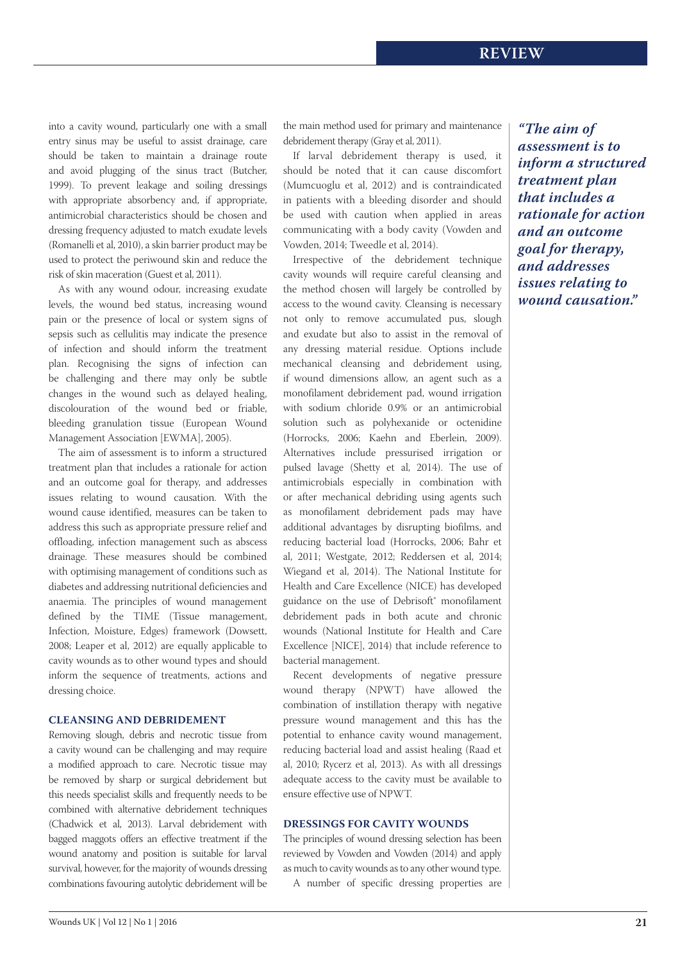into a cavity wound, particularly one with a small entry sinus may be useful to assist drainage, care should be taken to maintain a drainage route and avoid plugging of the sinus tract (Butcher, 1999). To prevent leakage and soiling dressings with appropriate absorbency and, if appropriate, antimicrobial characteristics should be chosen and dressing frequency adjusted to match exudate levels (Romanelli et al, 2010), a skin barrier product may be used to protect the periwound skin and reduce the risk of skin maceration (Guest et al, 2011).

As with any wound odour, increasing exudate levels, the wound bed status, increasing wound pain or the presence of local or system signs of sepsis such as cellulitis may indicate the presence of infection and should inform the treatment plan. Recognising the signs of infection can be challenging and there may only be subtle changes in the wound such as delayed healing, discolouration of the wound bed or friable, bleeding granulation tissue (European Wound Management Association [EWMA], 2005).

The aim of assessment is to inform a structured treatment plan that includes a rationale for action and an outcome goal for therapy, and addresses issues relating to wound causation. With the wound cause identified, measures can be taken to address this such as appropriate pressure relief and offloading, infection management such as abscess drainage. These measures should be combined with optimising management of conditions such as diabetes and addressing nutritional deficiencies and anaemia. The principles of wound management defined by the TIME (Tissue management, Infection, Moisture, Edges) framework (Dowsett, 2008; Leaper et al, 2012) are equally applicable to cavity wounds as to other wound types and should inform the sequence of treatments, actions and dressing choice.

## **CLEANSING AND DEBRIDEMENT**

Removing slough, debris and necrotic tissue from a cavity wound can be challenging and may require a modified approach to care. Necrotic tissue may be removed by sharp or surgical debridement but this needs specialist skills and frequently needs to be combined with alternative debridement techniques (Chadwick et al, 2013). Larval debridement with bagged maggots offers an effective treatment if the wound anatomy and position is suitable for larval survival, however, for the majority of wounds dressing combinations favouring autolytic debridement will be

the main method used for primary and maintenance debridement therapy (Gray et al, 2011).

If larval debridement therapy is used, it should be noted that it can cause discomfort (Mumcuoglu et al, 2012) and is contraindicated in patients with a bleeding disorder and should be used with caution when applied in areas communicating with a body cavity (Vowden and Vowden, 2014; Tweedle et al, 2014).

Irrespective of the debridement technique cavity wounds will require careful cleansing and the method chosen will largely be controlled by access to the wound cavity. Cleansing is necessary not only to remove accumulated pus, slough and exudate but also to assist in the removal of any dressing material residue. Options include mechanical cleansing and debridement using, if wound dimensions allow, an agent such as a monofilament debridement pad, wound irrigation with sodium chloride 0.9% or an antimicrobial solution such as polyhexanide or octenidine (Horrocks, 2006; Kaehn and Eberlein, 2009). Alternatives include pressurised irrigation or pulsed lavage (Shetty et al, 2014). The use of antimicrobials especially in combination with or after mechanical debriding using agents such as monofilament debridement pads may have additional advantages by disrupting biofilms, and reducing bacterial load (Horrocks, 2006; Bahr et al, 2011; Westgate, 2012; Reddersen et al, 2014; Wiegand et al, 2014). The National Institute for Health and Care Excellence (NICE) has developed guidance on the use of Debrisoft<sup>®</sup> monofilament debridement pads in both acute and chronic wounds (National Institute for Health and Care Excellence [NICE], 2014) that include reference to bacterial management.

Recent developments of negative pressure wound therapy (NPWT) have allowed the combination of instillation therapy with negative pressure wound management and this has the potential to enhance cavity wound management, reducing bacterial load and assist healing (Raad et al, 2010; Rycerz et al, 2013). As with all dressings adequate access to the cavity must be available to ensure effective use of NPWT.

#### **DRESSINGS FOR CAVITY WOUNDS**

The principles of wound dressing selection has been reviewed by Vowden and Vowden (2014) and apply as much to cavity wounds as to any other wound type.

*"The aim of assessment is to inform a structured treatment plan that includes a rationale for action and an outcome goal for therapy, and addresses issues relating to wound causation."*

A number of specific dressing properties are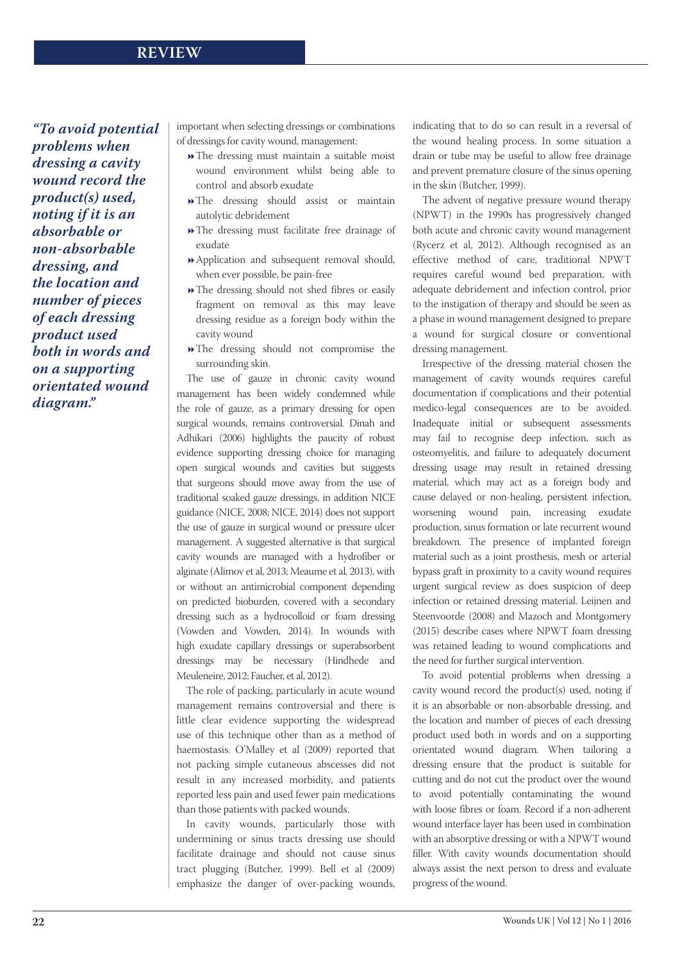# **REVIEW**

*"To avoid potential problems when dressing a cavity wound record the product(s) used, noting if it is an absorbable or non-absorbable dressing, and the location and number of pieces of each dressing product used both in words and on a supporting orientated wound diagram."*

important when selecting dressings or combinations of dressings for cavity wound, management:

- The dressing must maintain a suitable moist wound environment whilst being able to control and absorb exudate
- The dressing should assist or maintain autolytic debridement
- The dressing must facilitate free drainage of exudate
- Application and subsequent removal should, when ever possible, be pain-free
- The dressing should not shed fibres or easily fragment on removal as this may leave dressing residue as a foreign body within the cavity wound
- The dressing should not compromise the surrounding skin.

The use of gauze in chronic cavity wound management has been widely condemned while the role of gauze, as a primary dressing for open surgical wounds, remains controversial. Dinah and Adhikari (2006) highlights the paucity of robust evidence supporting dressing choice for managing open surgical wounds and cavities but suggests that surgeons should move away from the use of traditional soaked gauze dressings, in addition NICE guidance (NICE, 2008; NICE, 2014) does not support the use of gauze in surgical wound or pressure ulcer management. A suggested alternative is that surgical cavity wounds are managed with a hydrofiber or alginate (Alimov et al, 2013; Meaume et al, 2013), with or without an antimicrobial component depending on predicted bioburden, covered with a secondary dressing such as a hydrocolloid or foam dressing (Vowden and Vowden, 2014). In wounds with high exudate capillary dressings or superabsorbent dressings may be necessary (Hindhede and Meuleneire, 2012; Faucher, et al, 2012).

The role of packing, particularly in acute wound management remains controversial and there is little clear evidence supporting the widespread use of this technique other than as a method of haemostasis. O'Malley et al (2009) reported that not packing simple cutaneous abscesses did not result in any increased morbidity, and patients reported less pain and used fewer pain medications than those patients with packed wounds.

In cavity wounds, particularly those with undermining or sinus tracts dressing use should facilitate drainage and should not cause sinus tract plugging (Butcher, 1999). Bell et al (2009) emphasize the danger of over-packing wounds, indicating that to do so can result in a reversal of the wound healing process. In some situation a drain or tube may be useful to allow free drainage and prevent premature closure of the sinus opening in the skin (Butcher, 1999).

The advent of negative pressure wound therapy (NPWT) in the 1990s has progressively changed both acute and chronic cavity wound management (Rycerz et al, 2012). Although recognised as an effective method of care, traditional NPWT requires careful wound bed preparation, with adequate debridement and infection control, prior to the instigation of therapy and should be seen as a phase in wound management designed to prepare a wound for surgical closure or conventional dressing management.

Irrespective of the dressing material chosen the management of cavity wounds requires careful documentation if complications and their potential medico-legal consequences are to be avoided. Inadequate initial or subsequent assessments may fail to recognise deep infection, such as osteomyelitis, and failure to adequately document dressing usage may result in retained dressing material, which may act as a foreign body and cause delayed or non-healing, persistent infection, worsening wound pain, increasing exudate production, sinus formation or late recurrent wound breakdown. The presence of implanted foreign material such as a joint prosthesis, mesh or arterial bypass graft in proximity to a cavity wound requires urgent surgical review as does suspicion of deep infection or retained dressing material. Leijnen and Steenvoorde (2008) and Mazoch and Montgomery (2015) describe cases where NPWT foam dressing was retained leading to wound complications and the need for further surgical intervention.

To avoid potential problems when dressing a cavity wound record the product(s) used, noting if it is an absorbable or non-absorbable dressing, and the location and number of pieces of each dressing product used both in words and on a supporting orientated wound diagram. When tailoring a dressing ensure that the product is suitable for cutting and do not cut the product over the wound to avoid potentially contaminating the wound with loose fibres or foam. Record if a non-adherent wound interface layer has been used in combination with an absorptive dressing or with a NPWT wound filler. With cavity wounds documentation should always assist the next person to dress and evaluate progress of the wound.